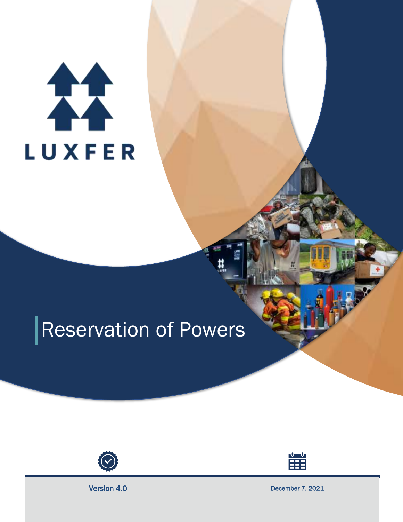# 11 LUXFER

# Reservation of Powers





Version 4.0 December 7, 2021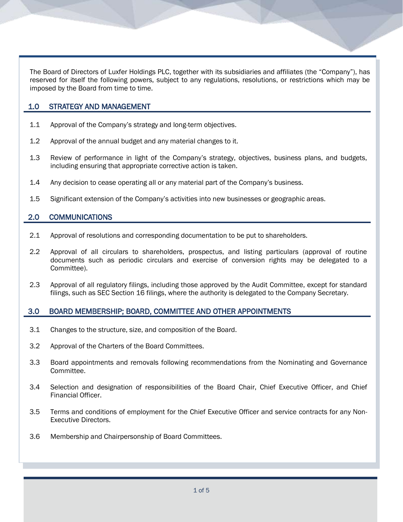The Board of Directors of Luxfer Holdings PLC, together with its subsidiaries and affiliates (the "Company"), has reserved for itself the following powers, subject to any regulations, resolutions, or restrictions which may be imposed by the Board from time to time.

# 1.0 STRATEGY AND MANAGEMENT

- 1.1 Approval of the Company's strategy and long-term objectives.
- 1.2 Approval of the annual budget and any material changes to it.
- 1.3 Review of performance in light of the Company's strategy, objectives, business plans, and budgets, including ensuring that appropriate corrective action is taken.
- 1.4 Any decision to cease operating all or any material part of the Company's business.
- 1.5 Significant extension of the Company's activities into new businesses or geographic areas.

# 2.0 COMMUNICATIONS

- 2.1 Approval of resolutions and corresponding documentation to be put to shareholders.
- 2.2 Approval of all circulars to shareholders, prospectus, and listing particulars (approval of routine documents such as periodic circulars and exercise of conversion rights may be delegated to a Committee).
- 2.3 Approval of all regulatory filings, including those approved by the Audit Committee, except for standard filings, such as SEC Section 16 filings, where the authority is delegated to the Company Secretary.

# 3.0 BOARD MEMBERSHIP; BOARD, COMMITTEE AND OTHER APPOINTMENTS

- 3.1 Changes to the structure, size, and composition of the Board.
- 3.2 Approval of the Charters of the Board Committees.
- 3.3 Board appointments and removals following recommendations from the Nominating and Governance Committee.
- 3.4 Selection and designation of responsibilities of the Board Chair, Chief Executive Officer, and Chief Financial Officer.
- 3.5 Terms and conditions of employment for the Chief Executive Officer and service contracts for any Non-Executive Directors.
- 3.6 Membership and Chairpersonship of Board Committees.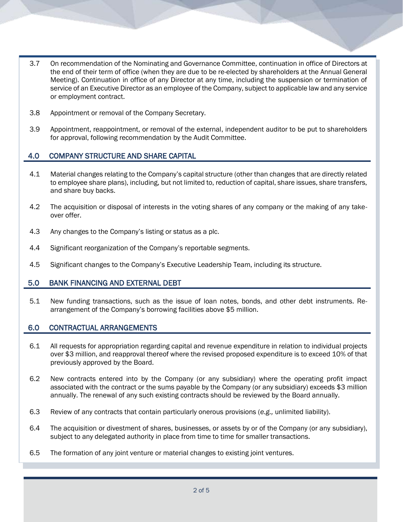- 3.7 On recommendation of the Nominating and Governance Committee, continuation in office of Directors at the end of their term of office (when they are due to be re-elected by shareholders at the Annual General Meeting). Continuation in office of any Director at any time, including the suspension or termination of service of an Executive Director as an employee of the Company, subject to applicable law and any service or employment contract.
- 3.8 Appointment or removal of the Company Secretary.
- 3.9 Appointment, reappointment, or removal of the external, independent auditor to be put to shareholders for approval, following recommendation by the Audit Committee.

#### 4.0 COMPANY STRUCTURE AND SHARE CAPITAL

- 4.1 Material changes relating to the Company's capital structure (other than changes that are directly related to employee share plans), including, but not limited to, reduction of capital, share issues, share transfers, and share buy backs.
- 4.2 The acquisition or disposal of interests in the voting shares of any company or the making of any takeover offer.
- 4.3 Any changes to the Company's listing or status as a plc.
- 4.4 Significant reorganization of the Company's reportable segments.
- 4.5 Significant changes to the Company's Executive Leadership Team, including its structure.

# 5.0 BANK FINANCING AND EXTERNAL DEBT

5.1 New funding transactions, such as the issue of loan notes, bonds, and other debt instruments. Rearrangement of the Company's borrowing facilities above \$5 million.

#### 6.0 CONTRACTUAL ARRANGEMENTS

- 6.1 All requests for appropriation regarding capital and revenue expenditure in relation to individual projects over \$3 million, and reapproval thereof where the revised proposed expenditure is to exceed 10% of that previously approved by the Board.
- 6.2 New contracts entered into by the Company (or any subsidiary) where the operating profit impact associated with the contract or the sums payable by the Company (or any subsidiary) exceeds \$3 million annually. The renewal of any such existing contracts should be reviewed by the Board annually.
- 6.3 Review of any contracts that contain particularly onerous provisions (*e.g.,* unlimited liability).
- 6.4 The acquisition or divestment of shares, businesses, or assets by or of the Company (or any subsidiary), subject to any delegated authority in place from time to time for smaller transactions.
- 6.5 The formation of any joint venture or material changes to existing joint ventures.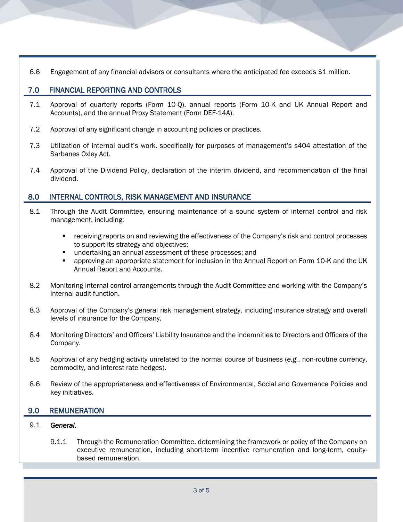6.6 Engagement of any financial advisors or consultants where the anticipated fee exceeds \$1 million.

# 7.0 FINANCIAL REPORTING AND CONTROLS

- 7.1 Approval of quarterly reports (Form 10-Q), annual reports (Form 10-K and UK Annual Report and Accounts), and the annual Proxy Statement (Form DEF-14A).
- 7.2 Approval of any significant change in accounting policies or practices.
- 7.3 Utilization of internal audit's work, specifically for purposes of management's s404 attestation of the Sarbanes Oxley Act.
- 7.4 Approval of the Dividend Policy, declaration of the interim dividend, and recommendation of the final dividend.

# 8.0 INTERNAL CONTROLS, RISK MANAGEMENT AND INSURANCE

- 8.1 Through the Audit Committee, ensuring maintenance of a sound system of internal control and risk management, including:
	- receiving reports on and reviewing the effectiveness of the Company's risk and control processes to support its strategy and objectives;
	- undertaking an annual assessment of these processes; and
	- approving an appropriate statement for inclusion in the Annual Report on Form 10-K and the UK Annual Report and Accounts.
- 8.2 Monitoring internal control arrangements through the Audit Committee and working with the Company's internal audit function.
- 8.3 Approval of the Company's general risk management strategy, including insurance strategy and overall levels of insurance for the Company.
- 8.4 Monitoring Directors' and Officers' Liability Insurance and the indemnities to Directors and Officers of the Company.
- 8.5 Approval of any hedging activity unrelated to the normal course of business (*e.g.*, non-routine currency, commodity, and interest rate hedges).
- 8.6 Review of the appropriateness and effectiveness of Environmental, Social and Governance Policies and key initiatives.

# 9.0 REMUNERATION

#### 9.1 *General.*

9.1.1 Through the Remuneration Committee, determining the framework or policy of the Company on executive remuneration, including short-term incentive remuneration and long-term, equitybased remuneration.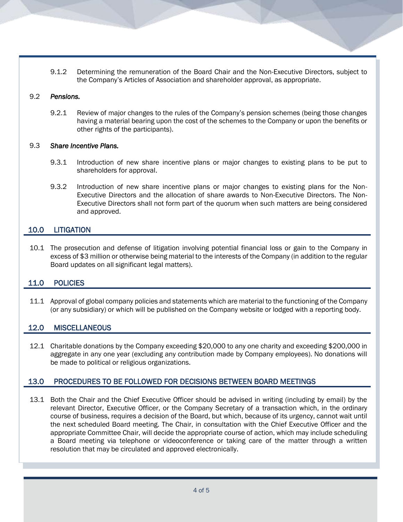9.1.2 Determining the remuneration of the Board Chair and the Non-Executive Directors, subject to the Company's Articles of Association and shareholder approval, as appropriate.

#### 9.2 *Pensions.*

9.2.1 Review of major changes to the rules of the Company's pension schemes (being those changes having a material bearing upon the cost of the schemes to the Company or upon the benefits or other rights of the participants).

#### 9.3 *Share Incentive Plans.*

- 9.3.1 Introduction of new share incentive plans or major changes to existing plans to be put to shareholders for approval.
- 9.3.2 Introduction of new share incentive plans or major changes to existing plans for the Non-Executive Directors and the allocation of share awards to Non-Executive Directors. The Non-Executive Directors shall not form part of the quorum when such matters are being considered and approved.

#### 10.0 LITIGATION

10.1 The prosecution and defense of litigation involving potential financial loss or gain to the Company in excess of \$3 million or otherwise being material to the interests of the Company (in addition to the regular Board updates on all significant legal matters).

# 11.0 POLICIES

11.1 Approval of global company policies and statements which are material to the functioning of the Company (or any subsidiary) or which will be published on the Company website or lodged with a reporting body.

#### 12.0 MISCELLANEOUS

12.1 Charitable donations by the Company exceeding \$20,000 to any one charity and exceeding \$200,000 in aggregate in any one year (excluding any contribution made by Company employees). No donations will be made to political or religious organizations.

# 13.0 PROCEDURES TO BE FOLLOWED FOR DECISIONS BETWEEN BOARD MEETINGS

13.1 Both the Chair and the Chief Executive Officer should be advised in writing (including by email) by the relevant Director, Executive Officer, or the Company Secretary of a transaction which, in the ordinary course of business, requires a decision of the Board, but which, because of its urgency, cannot wait until the next scheduled Board meeting. The Chair, in consultation with the Chief Executive Officer and the appropriate Committee Chair, will decide the appropriate course of action, which may include scheduling a Board meeting via telephone or videoconference or taking care of the matter through a written resolution that may be circulated and approved electronically.